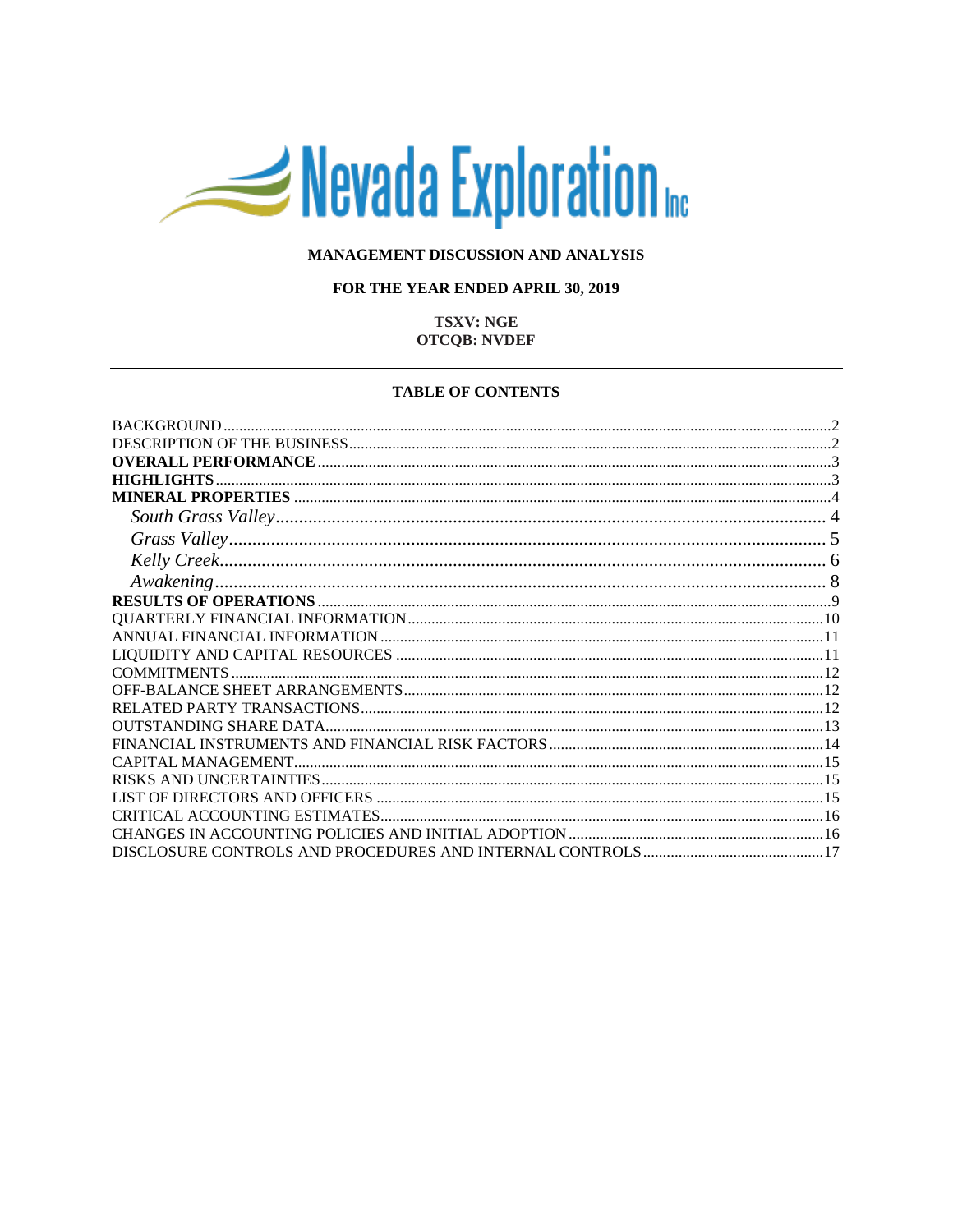# Nevada Exploration

## MANAGEMENT DISCUSSION AND ANALYSIS

## FOR THE YEAR ENDED APRIL 30, 2019

## **TSXV: NGE OTCQB: NVDEF**

#### **TABLE OF CONTENTS**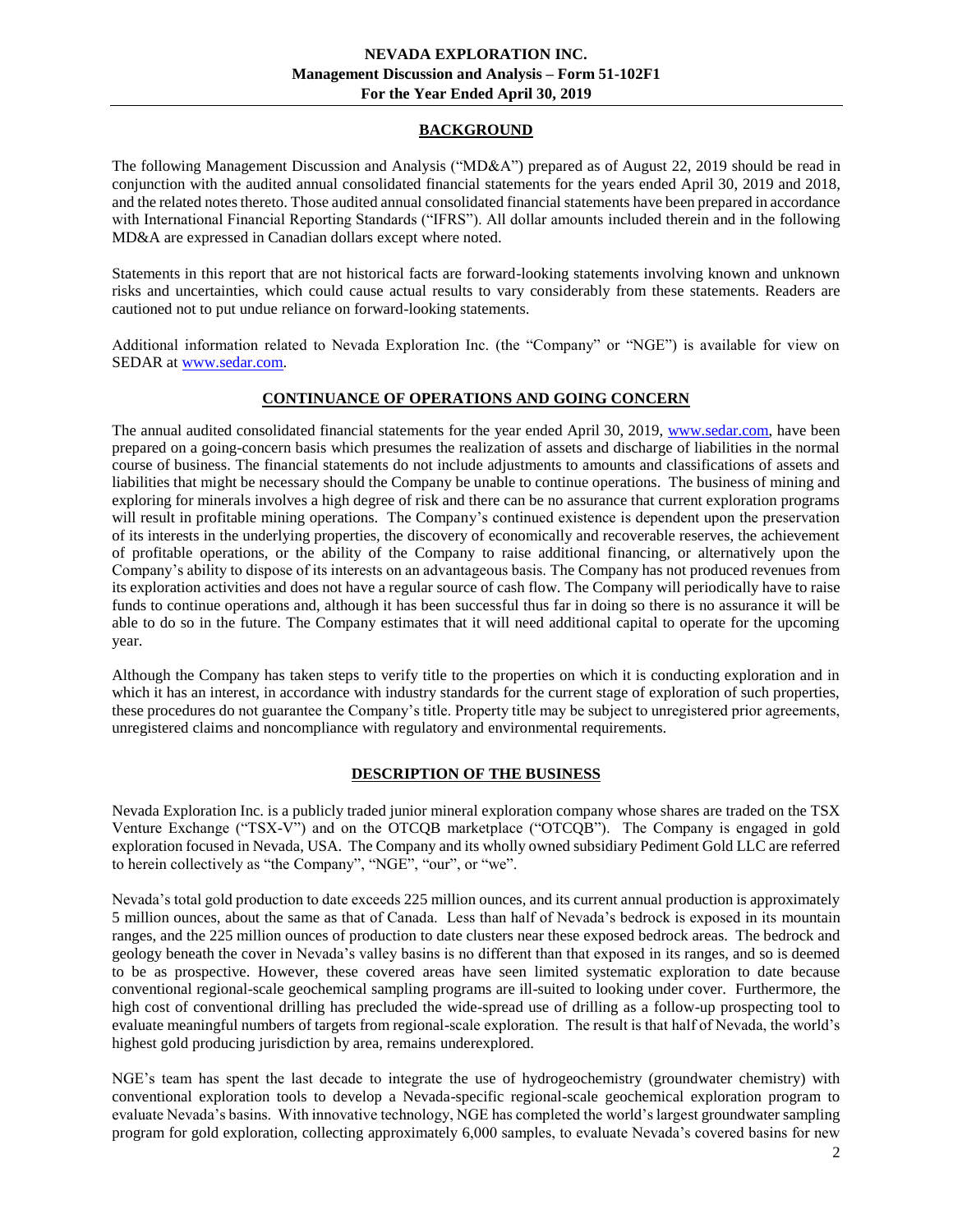## **BACKGROUND**

<span id="page-1-0"></span>The following Management Discussion and Analysis ("MD&A") prepared as of August 22, 2019 should be read in conjunction with the audited annual consolidated financial statements for the years ended April 30, 2019 and 2018, and the related notes thereto. Those audited annual consolidated financial statements have been prepared in accordance with International Financial Reporting Standards ("IFRS"). All dollar amounts included therein and in the following MD&A are expressed in Canadian dollars except where noted.

Statements in this report that are not historical facts are forward-looking statements involving known and unknown risks and uncertainties, which could cause actual results to vary considerably from these statements. Readers are cautioned not to put undue reliance on forward-looking statements.

Additional information related to Nevada Exploration Inc. (the "Company" or "NGE") is available for view on SEDAR at [www.sedar.com.](http://www.sedar.com/)

# **CONTINUANCE OF OPERATIONS AND GOING CONCERN**

The annual audited consolidated financial statements for the year ended April 30, 2019, [www.sedar.com,](http://www.sedar.com/) have been prepared on a going-concern basis which presumes the realization of assets and discharge of liabilities in the normal course of business. The financial statements do not include adjustments to amounts and classifications of assets and liabilities that might be necessary should the Company be unable to continue operations. The business of mining and exploring for minerals involves a high degree of risk and there can be no assurance that current exploration programs will result in profitable mining operations. The Company's continued existence is dependent upon the preservation of its interests in the underlying properties, the discovery of economically and recoverable reserves, the achievement of profitable operations, or the ability of the Company to raise additional financing, or alternatively upon the Company's ability to dispose of its interests on an advantageous basis. The Company has not produced revenues from its exploration activities and does not have a regular source of cash flow. The Company will periodically have to raise funds to continue operations and, although it has been successful thus far in doing so there is no assurance it will be able to do so in the future. The Company estimates that it will need additional capital to operate for the upcoming year.

Although the Company has taken steps to verify title to the properties on which it is conducting exploration and in which it has an interest, in accordance with industry standards for the current stage of exploration of such properties, these procedures do not guarantee the Company's title. Property title may be subject to unregistered prior agreements, unregistered claims and noncompliance with regulatory and environmental requirements.

## **DESCRIPTION OF THE BUSINESS**

<span id="page-1-1"></span>Nevada Exploration Inc. is a publicly traded junior mineral exploration company whose shares are traded on the TSX Venture Exchange ("TSX-V") and on the OTCQB marketplace ("OTCQB"). The Company is engaged in gold exploration focused in Nevada, USA. The Company and its wholly owned subsidiary Pediment Gold LLC are referred to herein collectively as "the Company", "NGE", "our", or "we".

Nevada's total gold production to date exceeds 225 million ounces, and its current annual production is approximately 5 million ounces, about the same as that of Canada. Less than half of Nevada's bedrock is exposed in its mountain ranges, and the 225 million ounces of production to date clusters near these exposed bedrock areas. The bedrock and geology beneath the cover in Nevada's valley basins is no different than that exposed in its ranges, and so is deemed to be as prospective. However, these covered areas have seen limited systematic exploration to date because conventional regional-scale geochemical sampling programs are ill-suited to looking under cover. Furthermore, the high cost of conventional drilling has precluded the wide-spread use of drilling as a follow-up prospecting tool to evaluate meaningful numbers of targets from regional-scale exploration. The result is that half of Nevada, the world's highest gold producing jurisdiction by area, remains underexplored.

NGE's team has spent the last decade to integrate the use of hydrogeochemistry (groundwater chemistry) with conventional exploration tools to develop a Nevada-specific regional-scale geochemical exploration program to evaluate Nevada's basins. With innovative technology, NGE has completed the world's largest groundwater sampling program for gold exploration, collecting approximately 6,000 samples, to evaluate Nevada's covered basins for new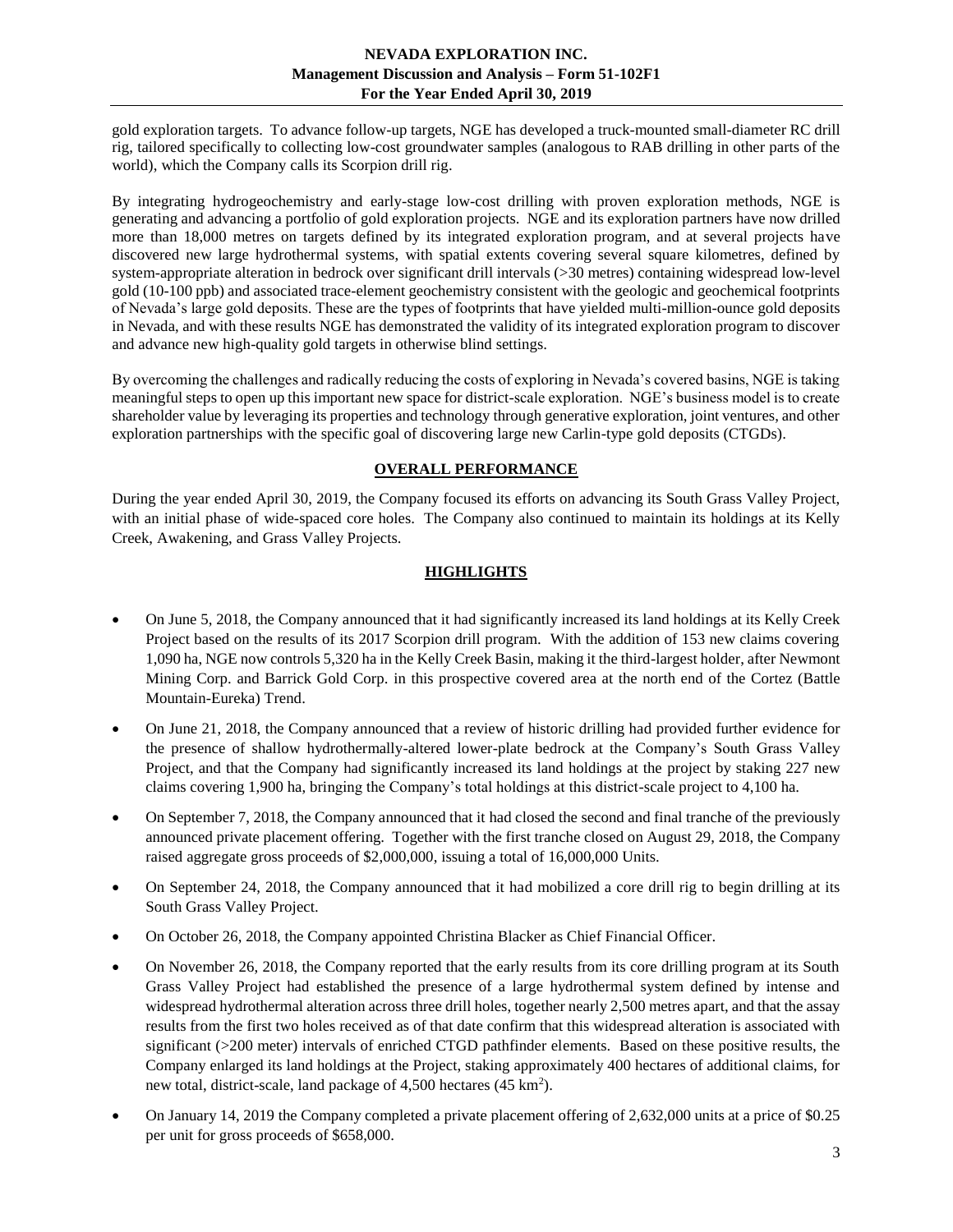gold exploration targets. To advance follow-up targets, NGE has developed a truck-mounted small-diameter RC drill rig, tailored specifically to collecting low-cost groundwater samples (analogous to RAB drilling in other parts of the world), which the Company calls its Scorpion drill rig.

By integrating hydrogeochemistry and early-stage low-cost drilling with proven exploration methods, NGE is generating and advancing a portfolio of gold exploration projects. NGE and its exploration partners have now drilled more than 18,000 metres on targets defined by its integrated exploration program, and at several projects have discovered new large hydrothermal systems, with spatial extents covering several square kilometres, defined by system-appropriate alteration in bedrock over significant drill intervals (>30 metres) containing widespread low-level gold (10-100 ppb) and associated trace-element geochemistry consistent with the geologic and geochemical footprints of Nevada's large gold deposits. These are the types of footprints that have yielded multi-million-ounce gold deposits in Nevada, and with these results NGE has demonstrated the validity of its integrated exploration program to discover and advance new high-quality gold targets in otherwise blind settings.

By overcoming the challenges and radically reducing the costs of exploring in Nevada's covered basins, NGE is taking meaningful steps to open up this important new space for district-scale exploration. NGE's business model is to create shareholder value by leveraging its properties and technology through generative exploration, joint ventures, and other exploration partnerships with the specific goal of discovering large new Carlin-type gold deposits (CTGDs).

# **OVERALL PERFORMANCE**

<span id="page-2-0"></span>During the year ended April 30, 2019, the Company focused its efforts on advancing its South Grass Valley Project, with an initial phase of wide-spaced core holes. The Company also continued to maintain its holdings at its Kelly Creek, Awakening, and Grass Valley Projects.

# **HIGHLIGHTS**

- <span id="page-2-1"></span>• On June 5, 2018, the Company announced that it had significantly increased its land holdings at its Kelly Creek Project based on the results of its 2017 Scorpion drill program. With the addition of 153 new claims covering 1,090 ha, NGE now controls 5,320 ha in the Kelly Creek Basin, making it the third-largest holder, after Newmont Mining Corp. and Barrick Gold Corp. in this prospective covered area at the north end of the Cortez (Battle Mountain-Eureka) Trend.
- On June 21, 2018, the Company announced that a review of historic drilling had provided further evidence for the presence of shallow hydrothermally-altered lower-plate bedrock at the Company's South Grass Valley Project, and that the Company had significantly increased its land holdings at the project by staking 227 new claims covering 1,900 ha, bringing the Company's total holdings at this district-scale project to 4,100 ha.
- On September 7, 2018, the Company announced that it had closed the second and final tranche of the previously announced private placement offering. Together with the first tranche closed on August 29, 2018, the Company raised aggregate gross proceeds of \$2,000,000, issuing a total of 16,000,000 Units.
- On September 24, 2018, the Company announced that it had mobilized a core drill rig to begin drilling at its South Grass Valley Project.
- On October 26, 2018, the Company appointed Christina Blacker as Chief Financial Officer.
- On November 26, 2018, the Company reported that the early results from its core drilling program at its South Grass Valley Project had established the presence of a large hydrothermal system defined by intense and widespread hydrothermal alteration across three drill holes, together nearly 2,500 metres apart, and that the assay results from the first two holes received as of that date confirm that this widespread alteration is associated with significant (>200 meter) intervals of enriched CTGD pathfinder elements. Based on these positive results, the Company enlarged its land holdings at the Project, staking approximately 400 hectares of additional claims, for new total, district-scale, land package of 4,500 hectares (45 km<sup>2</sup>).
- On January 14, 2019 the Company completed a private placement offering of 2,632,000 units at a price of \$0.25 per unit for gross proceeds of \$658,000.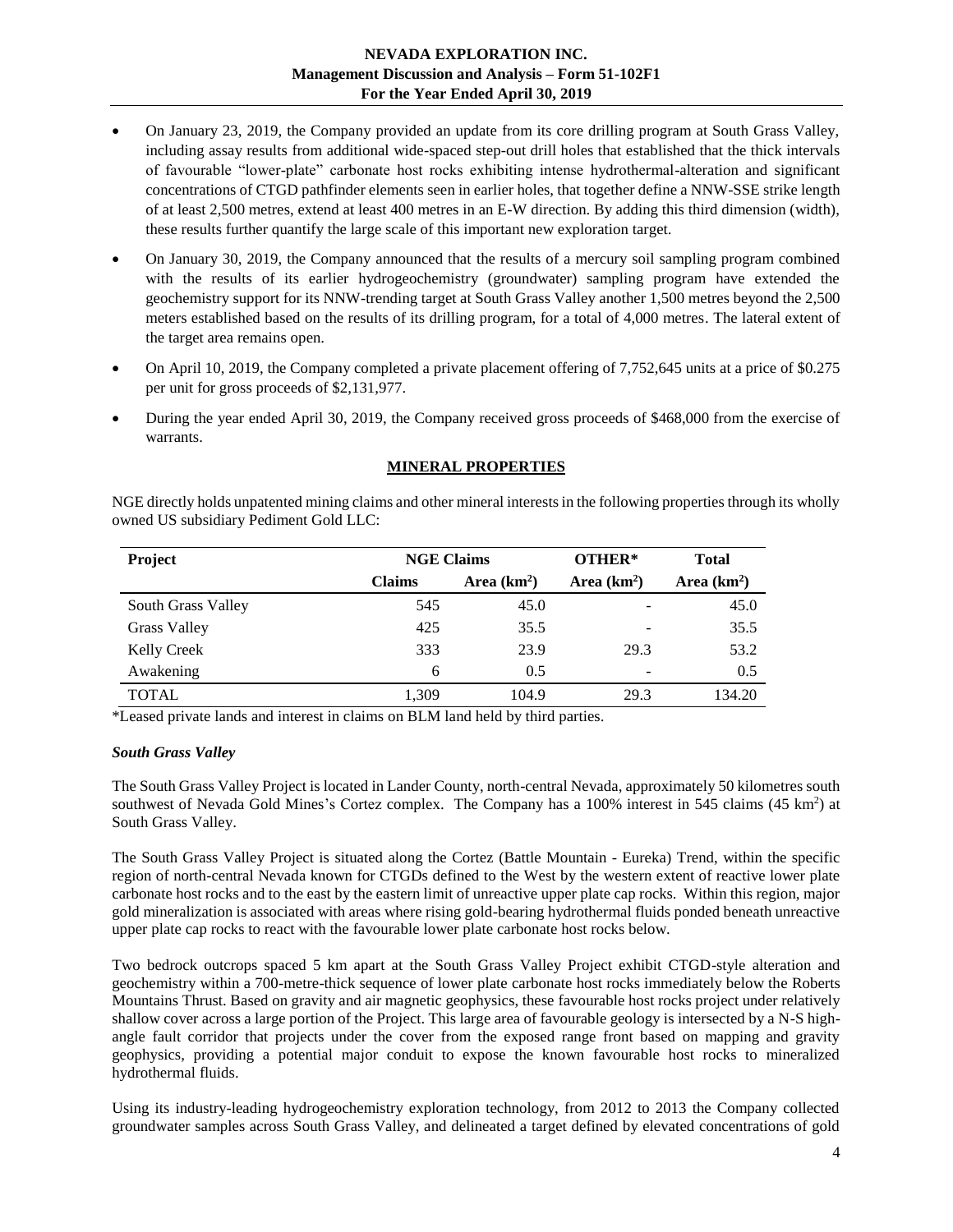- On January 23, 2019, the Company provided an update from its core drilling program at South Grass Valley, including assay results from additional wide-spaced step-out drill holes that established that the thick intervals of favourable "lower-plate" carbonate host rocks exhibiting intense hydrothermal-alteration and significant concentrations of CTGD pathfinder elements seen in earlier holes, that together define a NNW-SSE strike length of at least 2,500 metres, extend at least 400 metres in an E-W direction. By adding this third dimension (width), these results further quantify the large scale of this important new exploration target.
- On January 30, 2019, the Company announced that the results of a mercury soil sampling program combined with the results of its earlier hydrogeochemistry (groundwater) sampling program have extended the geochemistry support for its NNW-trending target at South Grass Valley another 1,500 metres beyond the 2,500 meters established based on the results of its drilling program, for a total of 4,000 metres. The lateral extent of the target area remains open.
- On April 10, 2019, the Company completed a private placement offering of 7,752,645 units at a price of \$0.275 per unit for gross proceeds of \$2,131,977.
- During the year ended April 30, 2019, the Company received gross proceeds of \$468,000 from the exercise of warrants.

## **MINERAL PROPERTIES**

<span id="page-3-0"></span>NGE directly holds unpatented mining claims and other mineral interests in the following properties through its wholly owned US subsidiary Pediment Gold LLC:

| <b>Project</b>      | <b>NGE Claims</b> |              | OTHER*       | <b>Total</b> |
|---------------------|-------------------|--------------|--------------|--------------|
|                     | <b>Claims</b>     | Area $(km2)$ | Area $(km2)$ | Area $(km2)$ |
| South Grass Valley  | 545               | 45.0         | -            | 45.0         |
| <b>Grass Valley</b> | 425               | 35.5         | -            | 35.5         |
| <b>Kelly Creek</b>  | 333               | 23.9         | 29.3         | 53.2         |
| Awakening           | 6                 | 0.5          | -            | 0.5          |
| <b>TOTAL</b>        | 1.309             | 104.9        | 29.3         | 134.20       |

\*Leased private lands and interest in claims on BLM land held by third parties.

#### <span id="page-3-1"></span>*South Grass Valley*

The South Grass Valley Project is located in Lander County, north-central Nevada, approximately 50 kilometres south southwest of Nevada Gold Mines's Cortez complex. The Company has a 100% interest in 545 claims (45 km<sup>2</sup>) at South Grass Valley.

The South Grass Valley Project is situated along the Cortez (Battle Mountain - Eureka) Trend, within the specific region of north-central Nevada known for CTGDs defined to the West by the western extent of reactive lower plate carbonate host rocks and to the east by the eastern limit of unreactive upper plate cap rocks. Within this region, major gold mineralization is associated with areas where rising gold-bearing hydrothermal fluids ponded beneath unreactive upper plate cap rocks to react with the favourable lower plate carbonate host rocks below.

Two bedrock outcrops spaced 5 km apart at the South Grass Valley Project exhibit CTGD-style alteration and geochemistry within a 700-metre-thick sequence of lower plate carbonate host rocks immediately below the Roberts Mountains Thrust. Based on gravity and air magnetic geophysics, these favourable host rocks project under relatively shallow cover across a large portion of the Project. This large area of favourable geology is intersected by a N-S highangle fault corridor that projects under the cover from the exposed range front based on mapping and gravity geophysics, providing a potential major conduit to expose the known favourable host rocks to mineralized hydrothermal fluids.

Using its industry-leading hydrogeochemistry exploration technology, from 2012 to 2013 the Company collected groundwater samples across South Grass Valley, and delineated a target defined by elevated concentrations of gold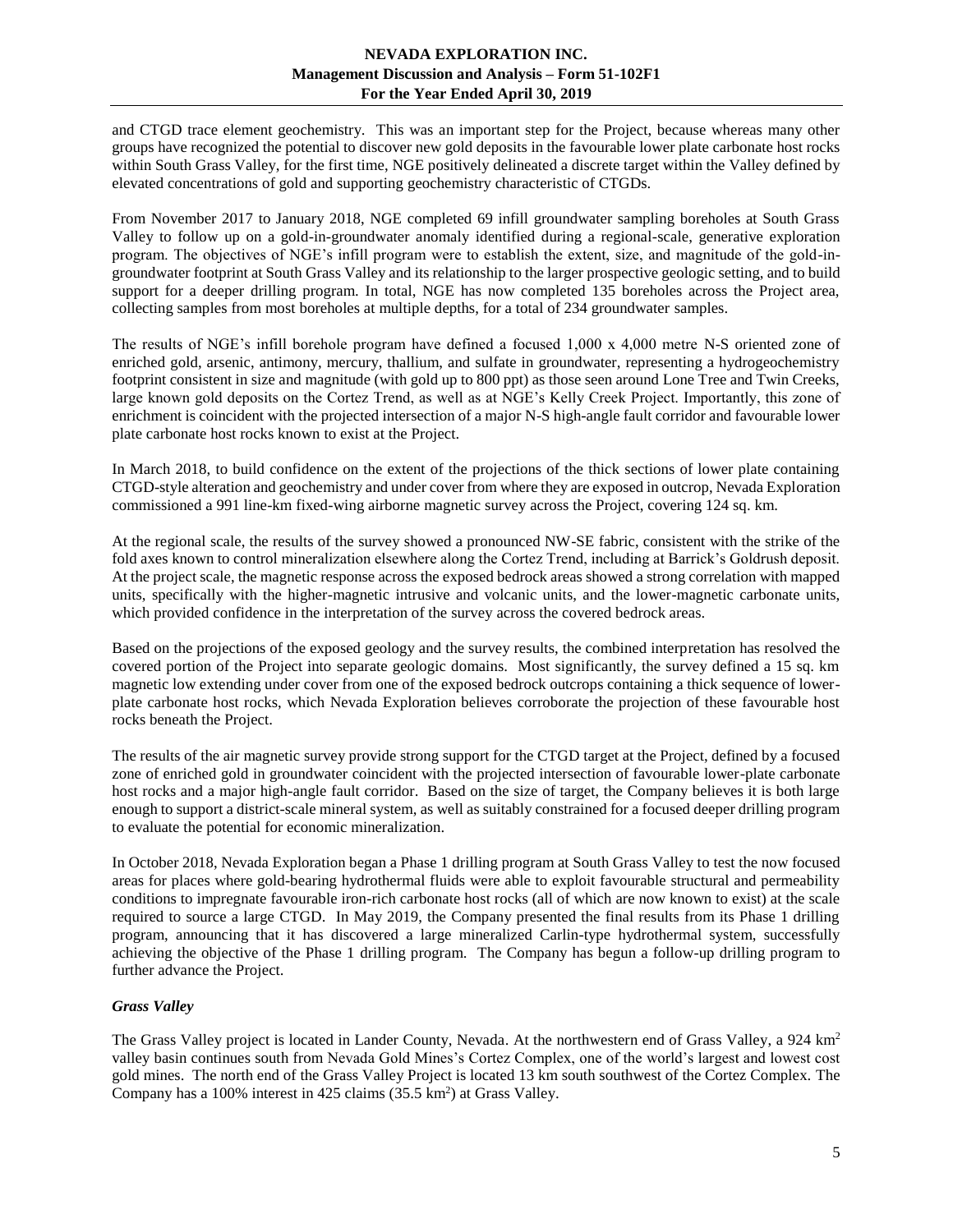and CTGD trace element geochemistry. This was an important step for the Project, because whereas many other groups have recognized the potential to discover new gold deposits in the favourable lower plate carbonate host rocks within South Grass Valley, for the first time, NGE positively delineated a discrete target within the Valley defined by elevated concentrations of gold and supporting geochemistry characteristic of CTGDs.

From November 2017 to January 2018, NGE completed 69 infill groundwater sampling boreholes at South Grass Valley to follow up on a gold-in-groundwater anomaly identified during a regional-scale, generative exploration program. The objectives of NGE's infill program were to establish the extent, size, and magnitude of the gold-ingroundwater footprint at South Grass Valley and its relationship to the larger prospective geologic setting, and to build support for a deeper drilling program. In total, NGE has now completed 135 boreholes across the Project area, collecting samples from most boreholes at multiple depths, for a total of 234 groundwater samples.

The results of NGE's infill borehole program have defined a focused 1,000 x 4,000 metre N-S oriented zone of enriched gold, arsenic, antimony, mercury, thallium, and sulfate in groundwater, representing a hydrogeochemistry footprint consistent in size and magnitude (with gold up to 800 ppt) as those seen around Lone Tree and Twin Creeks, large known gold deposits on the Cortez Trend, as well as at NGE's Kelly Creek Project. Importantly, this zone of enrichment is coincident with the projected intersection of a major N-S high-angle fault corridor and favourable lower plate carbonate host rocks known to exist at the Project.

In March 2018, to build confidence on the extent of the projections of the thick sections of lower plate containing CTGD-style alteration and geochemistry and under cover from where they are exposed in outcrop, Nevada Exploration commissioned a 991 line-km fixed-wing airborne magnetic survey across the Project, covering 124 sq. km.

At the regional scale, the results of the survey showed a pronounced NW-SE fabric, consistent with the strike of the fold axes known to control mineralization elsewhere along the Cortez Trend, including at Barrick's Goldrush deposit. At the project scale, the magnetic response across the exposed bedrock areas showed a strong correlation with mapped units, specifically with the higher-magnetic intrusive and volcanic units, and the lower-magnetic carbonate units, which provided confidence in the interpretation of the survey across the covered bedrock areas.

Based on the projections of the exposed geology and the survey results, the combined interpretation has resolved the covered portion of the Project into separate geologic domains. Most significantly, the survey defined a 15 sq. km magnetic low extending under cover from one of the exposed bedrock outcrops containing a thick sequence of lowerplate carbonate host rocks, which Nevada Exploration believes corroborate the projection of these favourable host rocks beneath the Project.

The results of the air magnetic survey provide strong support for the CTGD target at the Project, defined by a focused zone of enriched gold in groundwater coincident with the projected intersection of favourable lower-plate carbonate host rocks and a major high-angle fault corridor. Based on the size of target, the Company believes it is both large enough to support a district-scale mineral system, as well as suitably constrained for a focused deeper drilling program to evaluate the potential for economic mineralization.

In October 2018, Nevada Exploration began a Phase 1 drilling program at South Grass Valley to test the now focused areas for places where gold-bearing hydrothermal fluids were able to exploit favourable structural and permeability conditions to impregnate favourable iron-rich carbonate host rocks (all of which are now known to exist) at the scale required to source a large CTGD. In May 2019, the Company presented the final results from its Phase 1 drilling program, announcing that it has discovered a large mineralized Carlin-type hydrothermal system, successfully achieving the objective of the Phase 1 drilling program. The Company has begun a follow-up drilling program to further advance the Project.

## <span id="page-4-0"></span>*Grass Valley*

The Grass Valley project is located in Lander County, Nevada. At the northwestern end of Grass Valley, a 924 km<sup>2</sup> valley basin continues south from Nevada Gold Mines's Cortez Complex, one of the world's largest and lowest cost gold mines. The north end of the Grass Valley Project is located 13 km south southwest of the Cortez Complex. The Company has a 100% interest in 425 claims (35.5 km<sup>2</sup>) at Grass Valley.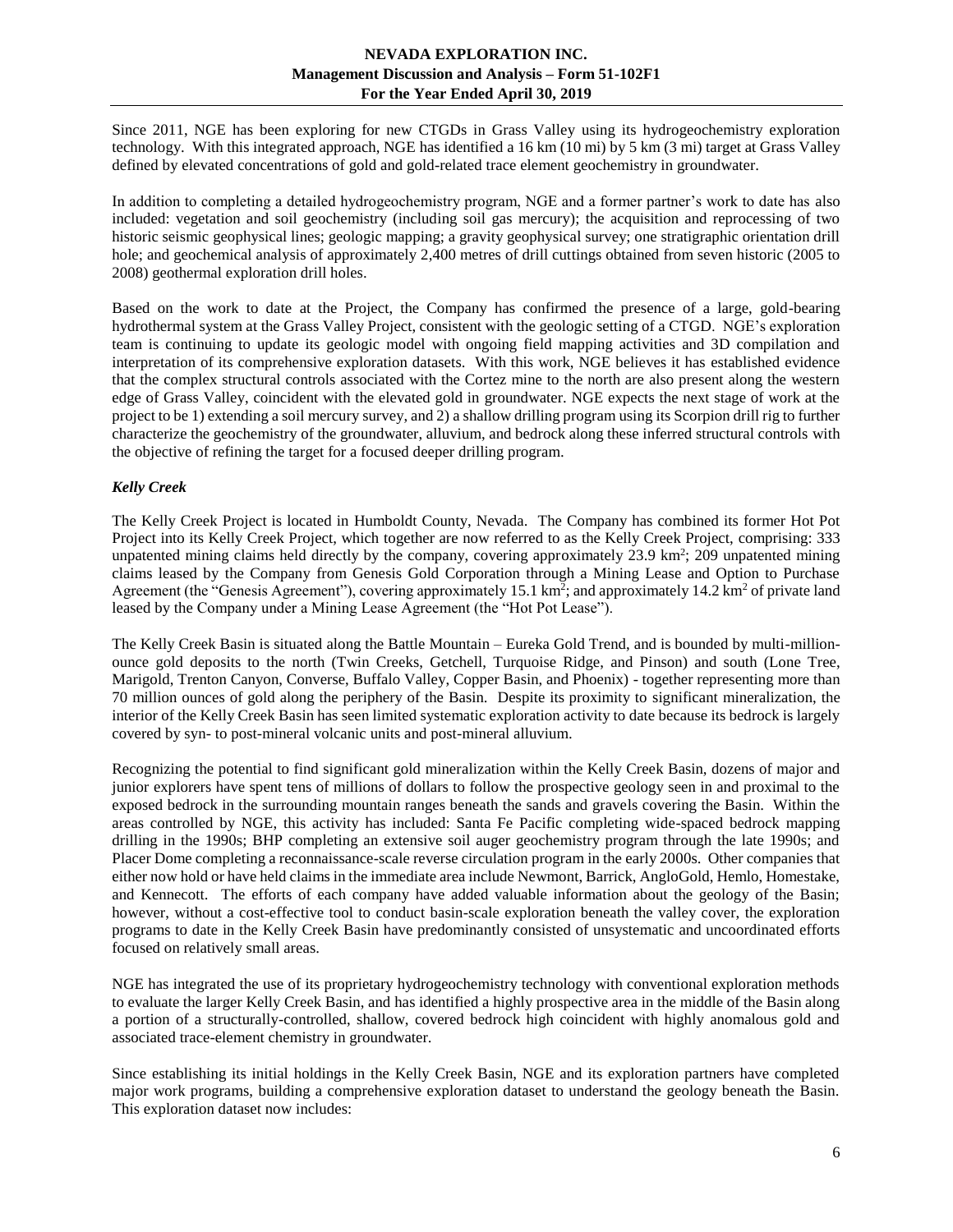Since 2011, NGE has been exploring for new CTGDs in Grass Valley using its hydrogeochemistry exploration technology. With this integrated approach, NGE has identified a 16 km (10 mi) by 5 km (3 mi) target at Grass Valley defined by elevated concentrations of gold and gold-related trace element geochemistry in groundwater.

In addition to completing a detailed hydrogeochemistry program, NGE and a former partner's work to date has also included: vegetation and soil geochemistry (including soil gas mercury); the acquisition and reprocessing of two historic seismic geophysical lines; geologic mapping; a gravity geophysical survey; one stratigraphic orientation drill hole; and geochemical analysis of approximately 2,400 metres of drill cuttings obtained from seven historic (2005 to 2008) geothermal exploration drill holes.

Based on the work to date at the Project, the Company has confirmed the presence of a large, gold-bearing hydrothermal system at the Grass Valley Project, consistent with the geologic setting of a CTGD. NGE's exploration team is continuing to update its geologic model with ongoing field mapping activities and 3D compilation and interpretation of its comprehensive exploration datasets. With this work, NGE believes it has established evidence that the complex structural controls associated with the Cortez mine to the north are also present along the western edge of Grass Valley, coincident with the elevated gold in groundwater. NGE expects the next stage of work at the project to be 1) extending a soil mercury survey, and 2) a shallow drilling program using its Scorpion drill rig to further characterize the geochemistry of the groundwater, alluvium, and bedrock along these inferred structural controls with the objective of refining the target for a focused deeper drilling program.

# <span id="page-5-0"></span>*Kelly Creek*

The Kelly Creek Project is located in Humboldt County, Nevada. The Company has combined its former Hot Pot Project into its Kelly Creek Project, which together are now referred to as the Kelly Creek Project, comprising: 333 unpatented mining claims held directly by the company, covering approximately 23.9 km<sup>2</sup>; 209 unpatented mining claims leased by the Company from Genesis Gold Corporation through a Mining Lease and Option to Purchase Agreement (the "Genesis Agreement"), covering approximately 15.1 km<sup>2</sup>; and approximately 14.2 km<sup>2</sup> of private land leased by the Company under a Mining Lease Agreement (the "Hot Pot Lease").

The Kelly Creek Basin is situated along the Battle Mountain – Eureka Gold Trend, and is bounded by multi-millionounce gold deposits to the north (Twin Creeks, Getchell, Turquoise Ridge, and Pinson) and south (Lone Tree, Marigold, Trenton Canyon, Converse, Buffalo Valley, Copper Basin, and Phoenix) - together representing more than 70 million ounces of gold along the periphery of the Basin. Despite its proximity to significant mineralization, the interior of the Kelly Creek Basin has seen limited systematic exploration activity to date because its bedrock is largely covered by syn- to post-mineral volcanic units and post-mineral alluvium.

Recognizing the potential to find significant gold mineralization within the Kelly Creek Basin, dozens of major and junior explorers have spent tens of millions of dollars to follow the prospective geology seen in and proximal to the exposed bedrock in the surrounding mountain ranges beneath the sands and gravels covering the Basin. Within the areas controlled by NGE, this activity has included: Santa Fe Pacific completing wide-spaced bedrock mapping drilling in the 1990s; BHP completing an extensive soil auger geochemistry program through the late 1990s; and Placer Dome completing a reconnaissance-scale reverse circulation program in the early 2000s. Other companies that either now hold or have held claims in the immediate area include Newmont, Barrick, AngloGold, Hemlo, Homestake, and Kennecott. The efforts of each company have added valuable information about the geology of the Basin; however, without a cost-effective tool to conduct basin-scale exploration beneath the valley cover, the exploration programs to date in the Kelly Creek Basin have predominantly consisted of unsystematic and uncoordinated efforts focused on relatively small areas.

NGE has integrated the use of its proprietary hydrogeochemistry technology with conventional exploration methods to evaluate the larger Kelly Creek Basin, and has identified a highly prospective area in the middle of the Basin along a portion of a structurally-controlled, shallow, covered bedrock high coincident with highly anomalous gold and associated trace-element chemistry in groundwater.

Since establishing its initial holdings in the Kelly Creek Basin, NGE and its exploration partners have completed major work programs, building a comprehensive exploration dataset to understand the geology beneath the Basin. This exploration dataset now includes: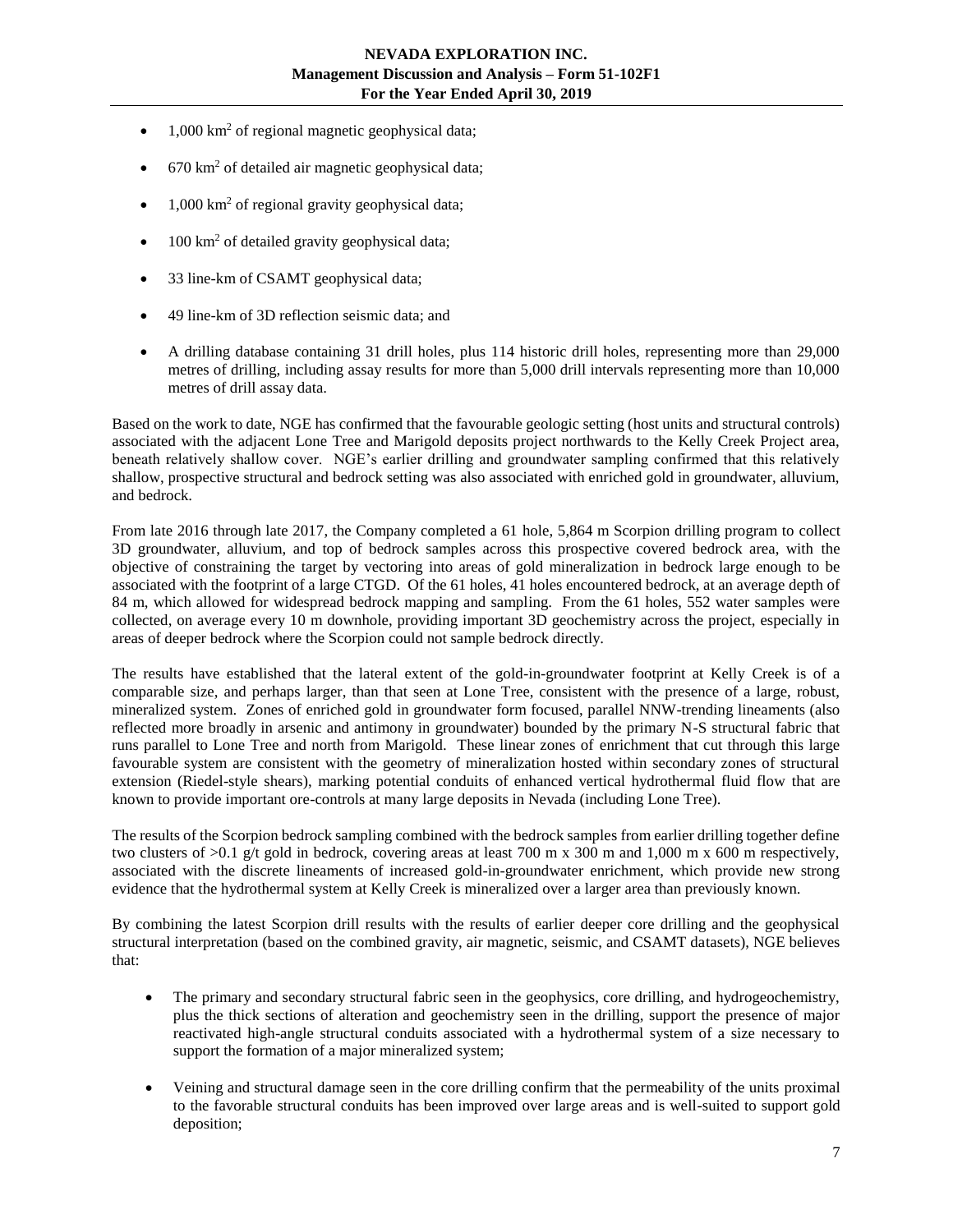- $\bullet$  1,000 km<sup>2</sup> of regional magnetic geophysical data;
- $670 \text{ km}^2$  of detailed air magnetic geophysical data;
- $1,000 \text{ km}^2$  of regional gravity geophysical data;
- $\bullet$  100 km<sup>2</sup> of detailed gravity geophysical data;
- 33 line-km of CSAMT geophysical data;
- 49 line-km of 3D reflection seismic data; and
- A drilling database containing 31 drill holes, plus 114 historic drill holes, representing more than 29,000 metres of drilling, including assay results for more than 5,000 drill intervals representing more than 10,000 metres of drill assay data.

Based on the work to date, NGE has confirmed that the favourable geologic setting (host units and structural controls) associated with the adjacent Lone Tree and Marigold deposits project northwards to the Kelly Creek Project area, beneath relatively shallow cover. NGE's earlier drilling and groundwater sampling confirmed that this relatively shallow, prospective structural and bedrock setting was also associated with enriched gold in groundwater, alluvium, and bedrock.

From late 2016 through late 2017, the Company completed a 61 hole, 5,864 m Scorpion drilling program to collect 3D groundwater, alluvium, and top of bedrock samples across this prospective covered bedrock area, with the objective of constraining the target by vectoring into areas of gold mineralization in bedrock large enough to be associated with the footprint of a large CTGD. Of the 61 holes, 41 holes encountered bedrock, at an average depth of 84 m, which allowed for widespread bedrock mapping and sampling. From the 61 holes, 552 water samples were collected, on average every 10 m downhole, providing important 3D geochemistry across the project, especially in areas of deeper bedrock where the Scorpion could not sample bedrock directly.

The results have established that the lateral extent of the gold-in-groundwater footprint at Kelly Creek is of a comparable size, and perhaps larger, than that seen at Lone Tree, consistent with the presence of a large, robust, mineralized system. Zones of enriched gold in groundwater form focused, parallel NNW-trending lineaments (also reflected more broadly in arsenic and antimony in groundwater) bounded by the primary N-S structural fabric that runs parallel to Lone Tree and north from Marigold. These linear zones of enrichment that cut through this large favourable system are consistent with the geometry of mineralization hosted within secondary zones of structural extension (Riedel-style shears), marking potential conduits of enhanced vertical hydrothermal fluid flow that are known to provide important ore-controls at many large deposits in Nevada (including Lone Tree).

The results of the Scorpion bedrock sampling combined with the bedrock samples from earlier drilling together define two clusters of  $>0.1$  g/t gold in bedrock, covering areas at least 700 m x 300 m and 1,000 m x 600 m respectively, associated with the discrete lineaments of increased gold-in-groundwater enrichment, which provide new strong evidence that the hydrothermal system at Kelly Creek is mineralized over a larger area than previously known.

By combining the latest Scorpion drill results with the results of earlier deeper core drilling and the geophysical structural interpretation (based on the combined gravity, air magnetic, seismic, and CSAMT datasets), NGE believes that:

- The primary and secondary structural fabric seen in the geophysics, core drilling, and hydrogeochemistry, plus the thick sections of alteration and geochemistry seen in the drilling, support the presence of major reactivated high-angle structural conduits associated with a hydrothermal system of a size necessary to support the formation of a major mineralized system;
- Veining and structural damage seen in the core drilling confirm that the permeability of the units proximal to the favorable structural conduits has been improved over large areas and is well-suited to support gold deposition;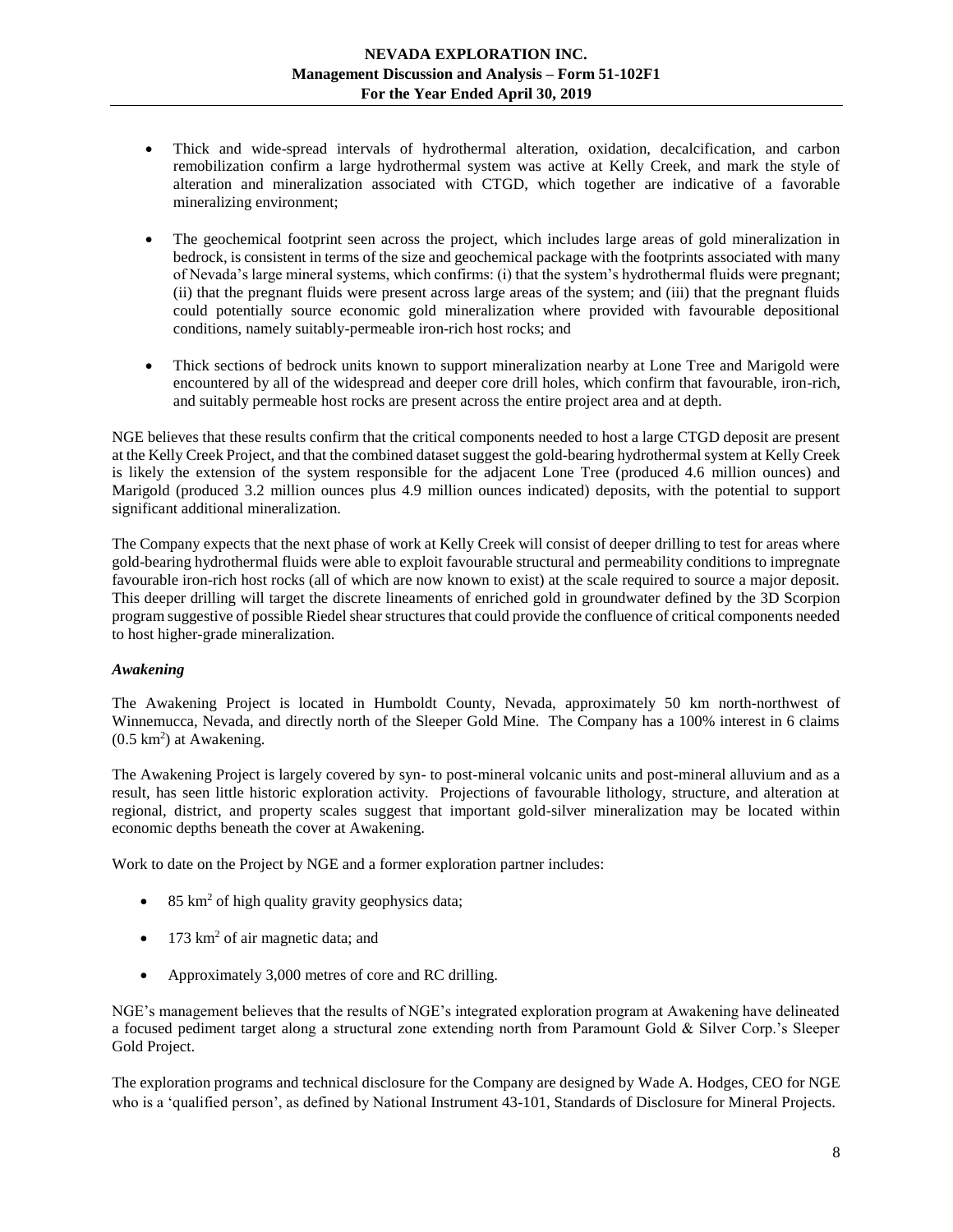- Thick and wide-spread intervals of hydrothermal alteration, oxidation, decalcification, and carbon remobilization confirm a large hydrothermal system was active at Kelly Creek, and mark the style of alteration and mineralization associated with CTGD, which together are indicative of a favorable mineralizing environment;
- The geochemical footprint seen across the project, which includes large areas of gold mineralization in bedrock, is consistent in terms of the size and geochemical package with the footprints associated with many of Nevada's large mineral systems, which confirms: (i) that the system's hydrothermal fluids were pregnant; (ii) that the pregnant fluids were present across large areas of the system; and (iii) that the pregnant fluids could potentially source economic gold mineralization where provided with favourable depositional conditions, namely suitably-permeable iron-rich host rocks; and
- Thick sections of bedrock units known to support mineralization nearby at Lone Tree and Marigold were encountered by all of the widespread and deeper core drill holes, which confirm that favourable, iron-rich, and suitably permeable host rocks are present across the entire project area and at depth.

NGE believes that these results confirm that the critical components needed to host a large CTGD deposit are present at the Kelly Creek Project, and that the combined dataset suggest the gold-bearing hydrothermal system at Kelly Creek is likely the extension of the system responsible for the adjacent Lone Tree (produced 4.6 million ounces) and Marigold (produced 3.2 million ounces plus 4.9 million ounces indicated) deposits, with the potential to support significant additional mineralization.

The Company expects that the next phase of work at Kelly Creek will consist of deeper drilling to test for areas where gold-bearing hydrothermal fluids were able to exploit favourable structural and permeability conditions to impregnate favourable iron-rich host rocks (all of which are now known to exist) at the scale required to source a major deposit. This deeper drilling will target the discrete lineaments of enriched gold in groundwater defined by the 3D Scorpion program suggestive of possible Riedel shear structures that could provide the confluence of critical components needed to host higher-grade mineralization.

## <span id="page-7-0"></span>*Awakening*

The Awakening Project is located in Humboldt County, Nevada, approximately 50 km north-northwest of Winnemucca, Nevada, and directly north of the Sleeper Gold Mine. The Company has a 100% interest in 6 claims  $(0.5 \text{ km}^2)$  at Awakening.

The Awakening Project is largely covered by syn- to post-mineral volcanic units and post-mineral alluvium and as a result, has seen little historic exploration activity. Projections of favourable lithology, structure, and alteration at regional, district, and property scales suggest that important gold-silver mineralization may be located within economic depths beneath the cover at Awakening.

Work to date on the Project by NGE and a former exploration partner includes:

- $\bullet$  85 km<sup>2</sup> of high quality gravity geophysics data;
- 173 km<sup>2</sup> of air magnetic data; and
- Approximately 3,000 metres of core and RC drilling.

NGE's management believes that the results of NGE's integrated exploration program at Awakening have delineated a focused pediment target along a structural zone extending north from Paramount Gold & Silver Corp.'s Sleeper Gold Project.

The exploration programs and technical disclosure for the Company are designed by Wade A. Hodges, CEO for NGE who is a 'qualified person', as defined by National Instrument 43-101, Standards of Disclosure for Mineral Projects.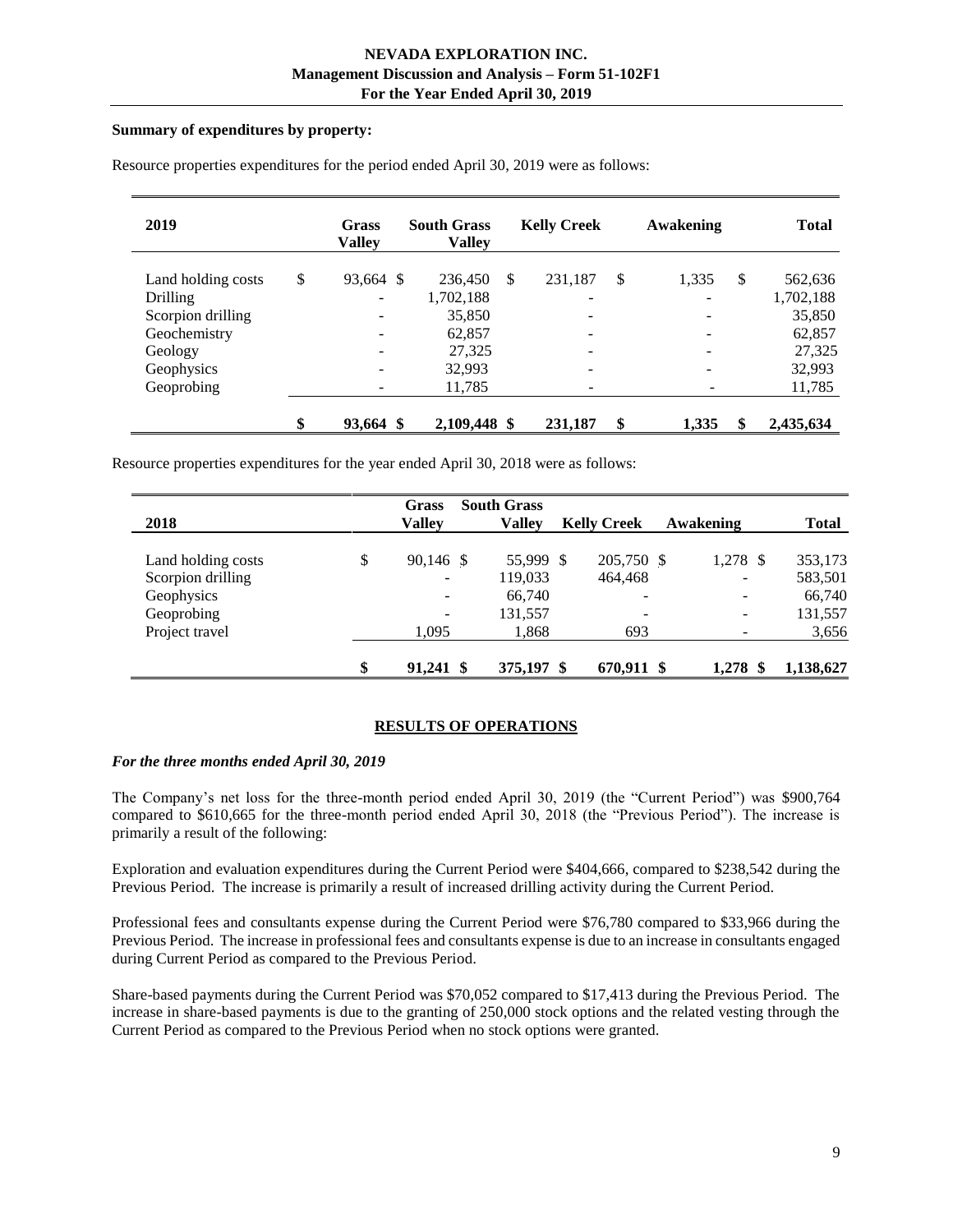#### **Summary of expenditures by property:**

| 2019               | <b>Grass</b><br><b>Valley</b> | <b>South Grass</b><br>Vallev | <b>Kelly Creek</b>       | Awakening   | <b>Total</b>    |
|--------------------|-------------------------------|------------------------------|--------------------------|-------------|-----------------|
| Land holding costs | \$<br>93,664 \$               | 236,450                      | \$<br>231,187            | \$<br>1,335 | \$<br>562,636   |
| Drilling           | -                             | 1,702,188                    | -                        |             | 1,702,188       |
| Scorpion drilling  |                               | 35,850                       | -                        |             | 35,850          |
| Geochemistry       |                               | 62,857                       | ۰                        |             | 62,857          |
| Geology            |                               | 27,325                       | $\qquad \qquad -$        |             | 27,325          |
| Geophysics         | $\overline{\phantom{a}}$      | 32,993                       | $\overline{\phantom{a}}$ |             | 32,993          |
| Geoprobing         |                               | 11,785                       | -                        |             | 11,785          |
|                    | \$<br>93,664 \$               | 2,109,448 \$                 | 231,187                  | \$<br>1,335 | \$<br>2,435,634 |

Resource properties expenditures for the period ended April 30, 2019 were as follows:

Resource properties expenditures for the year ended April 30, 2018 were as follows:

|                    | Grass                        | <b>South Grass</b> |                          |           |              |
|--------------------|------------------------------|--------------------|--------------------------|-----------|--------------|
| 2018               | <b>Valley</b>                | Vallev             | <b>Kelly Creek</b>       | Awakening | <b>Total</b> |
| Land holding costs | \$<br>90,146 \$              | 55,999 \$          | 205,750 \$               | 1,278 \$  | 353,173      |
| Scorpion drilling  | $\overline{\phantom{0}}$     | 119,033            | 464,468                  |           | 583,501      |
| Geophysics         | $\overline{\phantom{0}}$     | 66,740             | $\overline{\phantom{0}}$ | -         | 66,740       |
| Geoprobing         | $\qquad \qquad \blacksquare$ | 131,557            |                          | -         | 131,557      |
| Project travel     | 1.095                        | 1,868              | 693                      | -         | 3,656        |
|                    | \$<br>$91,241$ \$            | 375,197 \$         | 670,911 \$               | 1.278     | 1,138,627    |

## **RESULTS OF OPERATIONS**

## <span id="page-8-0"></span>*For the three months ended April 30, 2019*

The Company's net loss for the three-month period ended April 30, 2019 (the "Current Period") was \$900,764 compared to \$610,665 for the three-month period ended April 30, 2018 (the "Previous Period"). The increase is primarily a result of the following:

Exploration and evaluation expenditures during the Current Period were \$404,666, compared to \$238,542 during the Previous Period. The increase is primarily a result of increased drilling activity during the Current Period.

Professional fees and consultants expense during the Current Period were \$76,780 compared to \$33,966 during the Previous Period. The increase in professional fees and consultants expense is due to an increase in consultants engaged during Current Period as compared to the Previous Period.

Share-based payments during the Current Period was \$70,052 compared to \$17,413 during the Previous Period. The increase in share-based payments is due to the granting of 250,000 stock options and the related vesting through the Current Period as compared to the Previous Period when no stock options were granted.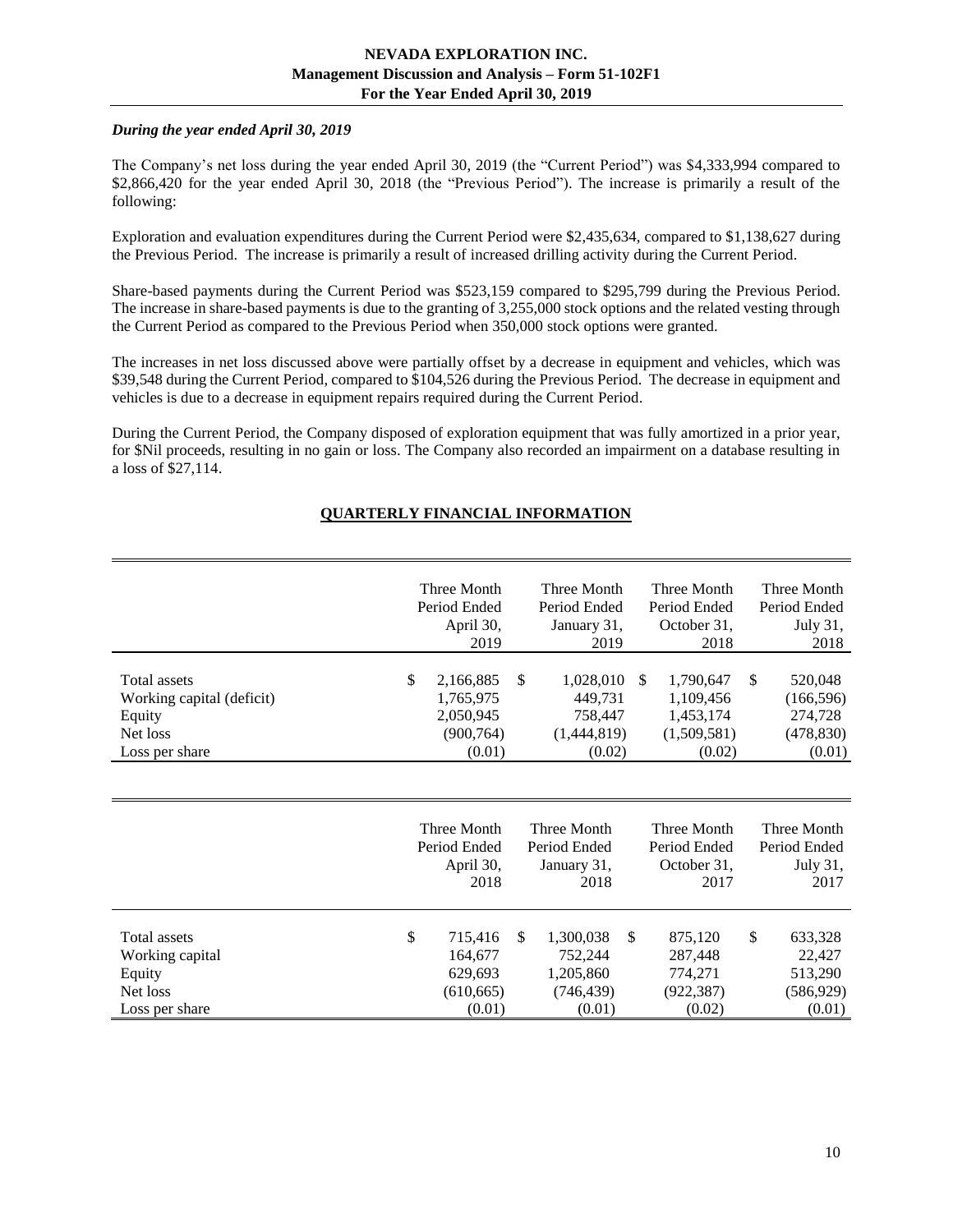## *During the year ended April 30, 2019*

The Company's net loss during the year ended April 30, 2019 (the "Current Period") was \$4,333,994 compared to \$2,866,420 for the year ended April 30, 2018 (the "Previous Period"). The increase is primarily a result of the following:

Exploration and evaluation expenditures during the Current Period were \$2,435,634, compared to \$1,138,627 during the Previous Period. The increase is primarily a result of increased drilling activity during the Current Period.

Share-based payments during the Current Period was \$523,159 compared to \$295,799 during the Previous Period. The increase in share-based payments is due to the granting of 3,255,000 stock options and the related vesting through the Current Period as compared to the Previous Period when 350,000 stock options were granted.

The increases in net loss discussed above were partially offset by a decrease in equipment and vehicles, which was \$39,548 during the Current Period, compared to \$104,526 during the Previous Period. The decrease in equipment and vehicles is due to a decrease in equipment repairs required during the Current Period.

<span id="page-9-0"></span>During the Current Period, the Company disposed of exploration equipment that was fully amortized in a prior year, for \$Nil proceeds, resulting in no gain or loss. The Company also recorded an impairment on a database resulting in a loss of \$27,114.

# **QUARTERLY FINANCIAL INFORMATION**

|                                                                                   | Three Month<br>Period Ended<br>April 30,<br>2019                  | Three Month<br>Period Ended<br>January 31,<br>2019             |   | Three Month<br>Period Ended<br>October 31,<br>2018           |               | Three Month<br>Period Ended<br>July 31,<br>2018          |
|-----------------------------------------------------------------------------------|-------------------------------------------------------------------|----------------------------------------------------------------|---|--------------------------------------------------------------|---------------|----------------------------------------------------------|
| Total assets<br>Working capital (deficit)<br>Equity<br>Net loss<br>Loss per share | \$<br>2,166,885<br>1,765,975<br>2,050,945<br>(900, 764)<br>(0.01) | \$<br>1,028,010<br>449,731<br>758,447<br>(1,444,819)<br>(0.02) | S | 1,790,647<br>1,109,456<br>1,453,174<br>(1,509,581)<br>(0.02) | <sup>\$</sup> | 520,048<br>(166, 596)<br>274,728<br>(478, 830)<br>(0.01) |
|                                                                                   | Three Month<br>Period Ended<br>April 30,<br>2010                  | Three Month<br>Period Ended<br>January 31,<br>0.010            |   | Three Month<br>Period Ended<br>October 31,<br>$\bigcap$      |               | Three Month<br>Period Ended<br>July 31,<br>$\bigcap$     |

|                 | 2018          | 2018       | 2017       | 2017       |
|-----------------|---------------|------------|------------|------------|
| Total assets    | \$<br>715.416 | 1,300,038  | 875,120    | 633,328    |
| Working capital | 164,677       | 752,244    | 287,448    | 22,427     |
| Equity          | 629,693       | 1,205,860  | 774.271    | 513,290    |
| Net loss        | (610, 665)    | (746, 439) | (922, 387) | (586, 929) |
| Loss per share  | (0.01)        | (0.01)     | (0.02)     | (0.01)     |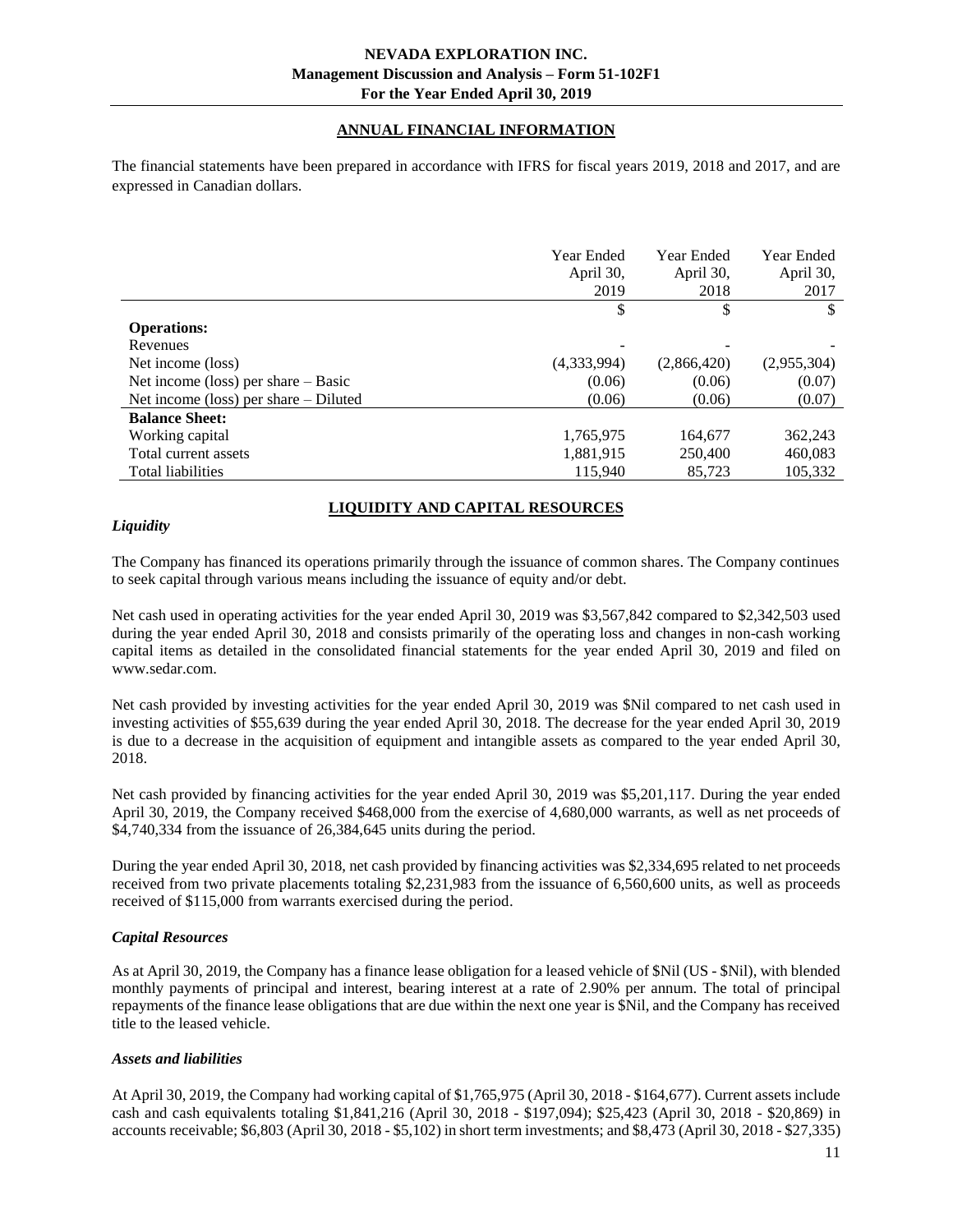# **ANNUAL FINANCIAL INFORMATION**

<span id="page-10-0"></span>The financial statements have been prepared in accordance with IFRS for fiscal years 2019, 2018 and 2017, and are expressed in Canadian dollars.

|                                         | Year Ended<br>April 30,<br>2019 | Year Ended<br>April 30,<br>2018 | Year Ended<br>April 30,<br>2017 |
|-----------------------------------------|---------------------------------|---------------------------------|---------------------------------|
|                                         | \$                              | \$                              | \$                              |
| <b>Operations:</b>                      |                                 |                                 |                                 |
| Revenues                                |                                 |                                 |                                 |
| Net income (loss)                       | (4,333,994)                     | (2,866,420)                     | (2,955,304)                     |
| Net income (loss) per share $-$ Basic   | (0.06)                          | (0.06)                          | (0.07)                          |
| Net income (loss) per share $-$ Diluted | (0.06)                          | (0.06)                          | (0.07)                          |
| <b>Balance Sheet:</b>                   |                                 |                                 |                                 |
| Working capital                         | 1,765,975                       | 164,677                         | 362,243                         |
| Total current assets                    | 1,881,915                       | 250,400                         | 460,083                         |
| Total liabilities                       | 115.940                         | 85,723                          | 105.332                         |

# **LIQUIDITY AND CAPITAL RESOURCES**

#### <span id="page-10-1"></span>*Liquidity*

The Company has financed its operations primarily through the issuance of common shares. The Company continues to seek capital through various means including the issuance of equity and/or debt.

Net cash used in operating activities for the year ended April 30, 2019 was \$3,567,842 compared to \$2,342,503 used during the year ended April 30, 2018 and consists primarily of the operating loss and changes in non-cash working capital items as detailed in the consolidated financial statements for the year ended April 30, 2019 and filed on www.sedar.com.

Net cash provided by investing activities for the year ended April 30, 2019 was \$Nil compared to net cash used in investing activities of \$55,639 during the year ended April 30, 2018. The decrease for the year ended April 30, 2019 is due to a decrease in the acquisition of equipment and intangible assets as compared to the year ended April 30, 2018.

Net cash provided by financing activities for the year ended April 30, 2019 was \$5,201,117. During the year ended April 30, 2019, the Company received \$468,000 from the exercise of 4,680,000 warrants, as well as net proceeds of \$4,740,334 from the issuance of 26,384,645 units during the period.

During the year ended April 30, 2018, net cash provided by financing activities was \$2,334,695 related to net proceeds received from two private placements totaling \$2,231,983 from the issuance of 6,560,600 units, as well as proceeds received of \$115,000 from warrants exercised during the period.

## *Capital Resources*

As at April 30, 2019, the Company has a finance lease obligation for a leased vehicle of \$Nil (US - \$Nil), with blended monthly payments of principal and interest, bearing interest at a rate of 2.90% per annum. The total of principal repayments of the finance lease obligations that are due within the next one year is \$Nil, and the Company has received title to the leased vehicle.

#### *Assets and liabilities*

At April 30, 2019, the Company had working capital of \$1,765,975 (April 30, 2018 - \$164,677). Current assets include cash and cash equivalents totaling \$1,841,216 (April 30, 2018 - \$197,094); \$25,423 (April 30, 2018 - \$20,869) in accounts receivable; \$6,803 (April 30, 2018 - \$5,102) in short term investments; and \$8,473 (April 30, 2018 - \$27,335)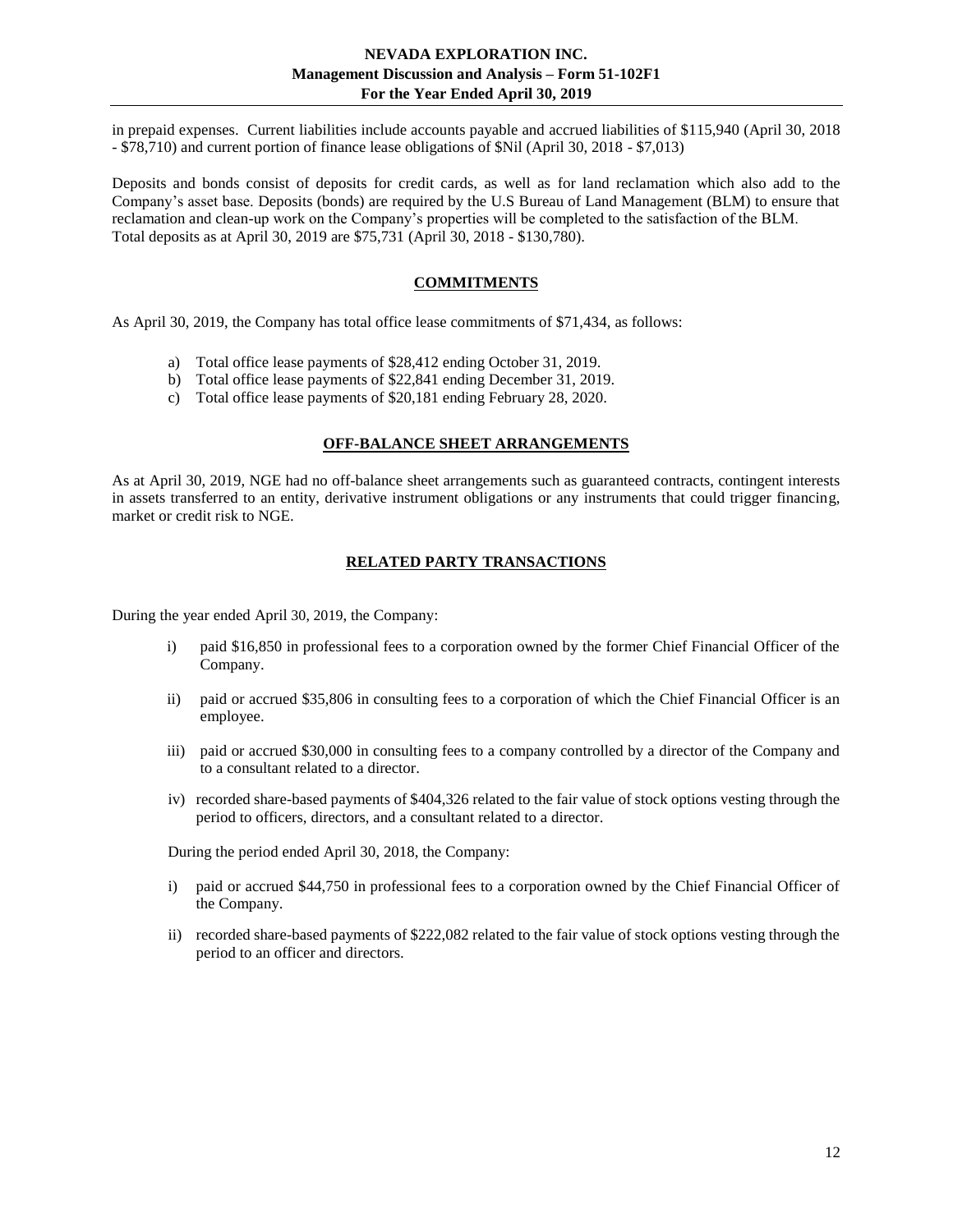in prepaid expenses. Current liabilities include accounts payable and accrued liabilities of \$115,940 (April 30, 2018 - \$78,710) and current portion of finance lease obligations of \$Nil (April 30, 2018 - \$7,013)

Deposits and bonds consist of deposits for credit cards, as well as for land reclamation which also add to the Company's asset base. Deposits (bonds) are required by the U.S Bureau of Land Management (BLM) to ensure that reclamation and clean-up work on the Company's properties will be completed to the satisfaction of the BLM. Total deposits as at April 30, 2019 are \$75,731 (April 30, 2018 - \$130,780).

# **COMMITMENTS**

<span id="page-11-0"></span>As April 30, 2019, the Company has total office lease commitments of \$71,434, as follows:

- a) Total office lease payments of \$28,412 ending October 31, 2019.
- b) Total office lease payments of \$22,841 ending December 31, 2019.
- c) Total office lease payments of \$20,181 ending February 28, 2020.

#### **OFF-BALANCE SHEET ARRANGEMENTS**

<span id="page-11-2"></span><span id="page-11-1"></span>As at April 30, 2019, NGE had no off-balance sheet arrangements such as guaranteed contracts, contingent interests in assets transferred to an entity, derivative instrument obligations or any instruments that could trigger financing, market or credit risk to NGE.

#### **RELATED PARTY TRANSACTIONS**

During the year ended April 30, 2019, the Company:

- i) paid \$16,850 in professional fees to a corporation owned by the former Chief Financial Officer of the Company.
- ii) paid or accrued \$35,806 in consulting fees to a corporation of which the Chief Financial Officer is an employee.
- iii) paid or accrued \$30,000 in consulting fees to a company controlled by a director of the Company and to a consultant related to a director.
- iv) recorded share-based payments of \$404,326 related to the fair value of stock options vesting through the period to officers, directors, and a consultant related to a director.

During the period ended April 30, 2018, the Company:

- i) paid or accrued \$44,750 in professional fees to a corporation owned by the Chief Financial Officer of the Company.
- ii) recorded share-based payments of \$222,082 related to the fair value of stock options vesting through the period to an officer and directors.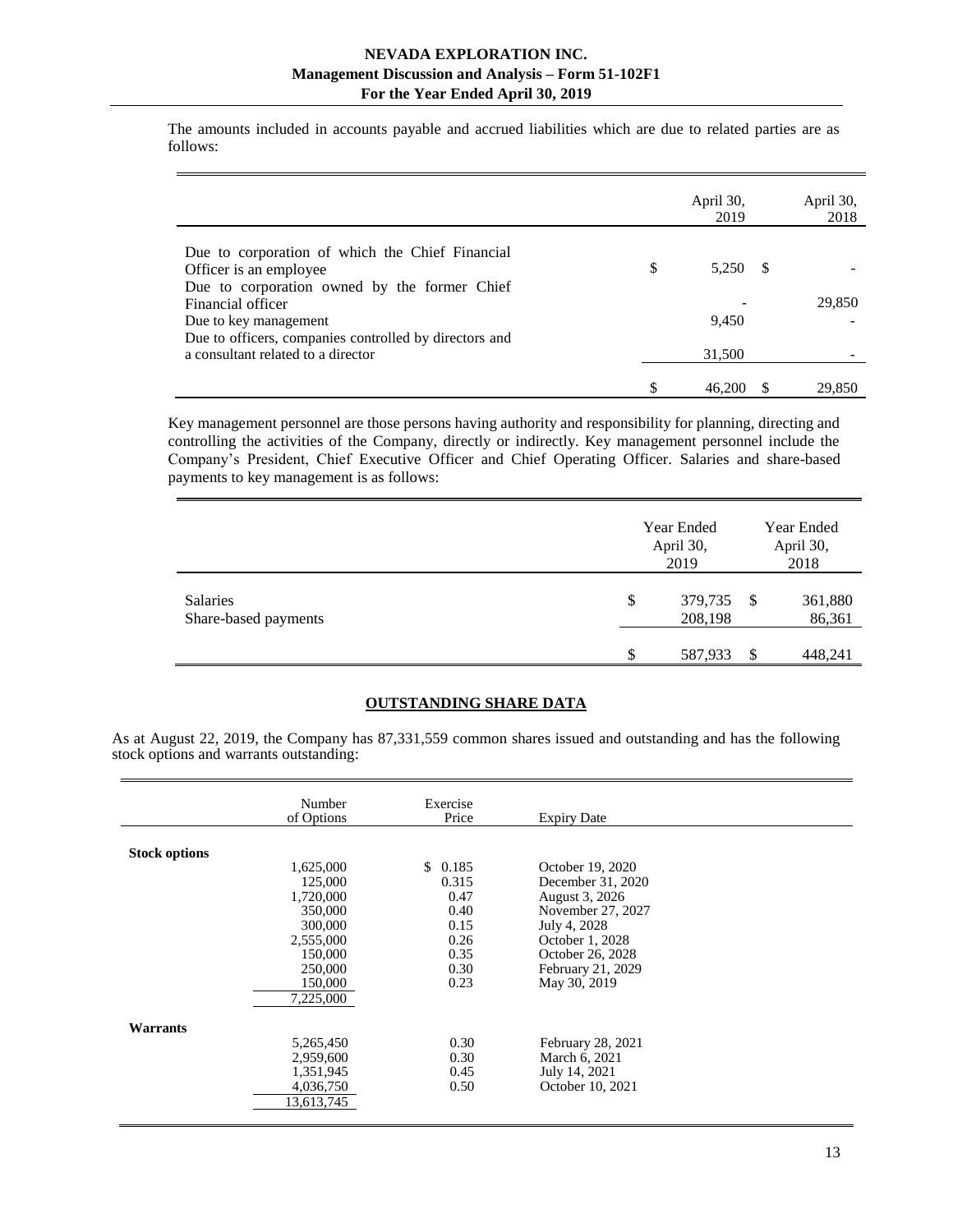The amounts included in accounts payable and accrued liabilities which are due to related parties are as follows:

|                                                                                              | April 30,<br>2019 | April 30,<br>2018 |
|----------------------------------------------------------------------------------------------|-------------------|-------------------|
| Due to corporation of which the Chief Financial<br>Officer is an employee                    | \$<br>5.250 \$    |                   |
| Due to corporation owned by the former Chief<br>Financial officer                            |                   | 29,850            |
| Due to key management                                                                        | 9,450             |                   |
| Due to officers, companies controlled by directors and<br>a consultant related to a director | 31,500            |                   |
|                                                                                              | 46,200            | 29,850            |

Key management personnel are those persons having authority and responsibility for planning, directing and controlling the activities of the Company, directly or indirectly. Key management personnel include the Company's President, Chief Executive Officer and Chief Operating Officer. Salaries and share-based payments to key management is as follows:

|                                         | Year Ended<br>April 30,<br>2019 | Year Ended<br>April 30,<br>2018 |                   |  |
|-----------------------------------------|---------------------------------|---------------------------------|-------------------|--|
| <b>Salaries</b><br>Share-based payments | \$<br>379,735<br>208,198        | -S                              | 361,880<br>86,361 |  |
|                                         | 587,933                         | S                               | 448,241           |  |

# **OUTSTANDING SHARE DATA**

<span id="page-12-0"></span>As at August 22, 2019, the Company has 87,331,559 common shares issued and outstanding and has the following stock options and warrants outstanding:

|                      | Number<br>of Options                                                                                               | Exercise<br>Price                                                        | <b>Expiry Date</b>                                                                                                                                                       |  |
|----------------------|--------------------------------------------------------------------------------------------------------------------|--------------------------------------------------------------------------|--------------------------------------------------------------------------------------------------------------------------------------------------------------------------|--|
| <b>Stock options</b> | 1,625,000<br>125,000<br>1,720,000<br>350,000<br>300,000<br>2,555,000<br>150,000<br>250,000<br>150,000<br>7,225,000 | \$0.185<br>0.315<br>0.47<br>0.40<br>0.15<br>0.26<br>0.35<br>0.30<br>0.23 | October 19, 2020<br>December 31, 2020<br>August 3, 2026<br>November 27, 2027<br>July 4, 2028<br>October 1, 2028<br>October 26, 2028<br>February 21, 2029<br>May 30, 2019 |  |
| Warrants             | 5,265,450<br>2,959,600<br>1,351,945<br>4,036,750<br>13,613,745                                                     | 0.30<br>0.30<br>0.45<br>0.50                                             | February 28, 2021<br>March 6, 2021<br>July 14, 2021<br>October 10, 2021                                                                                                  |  |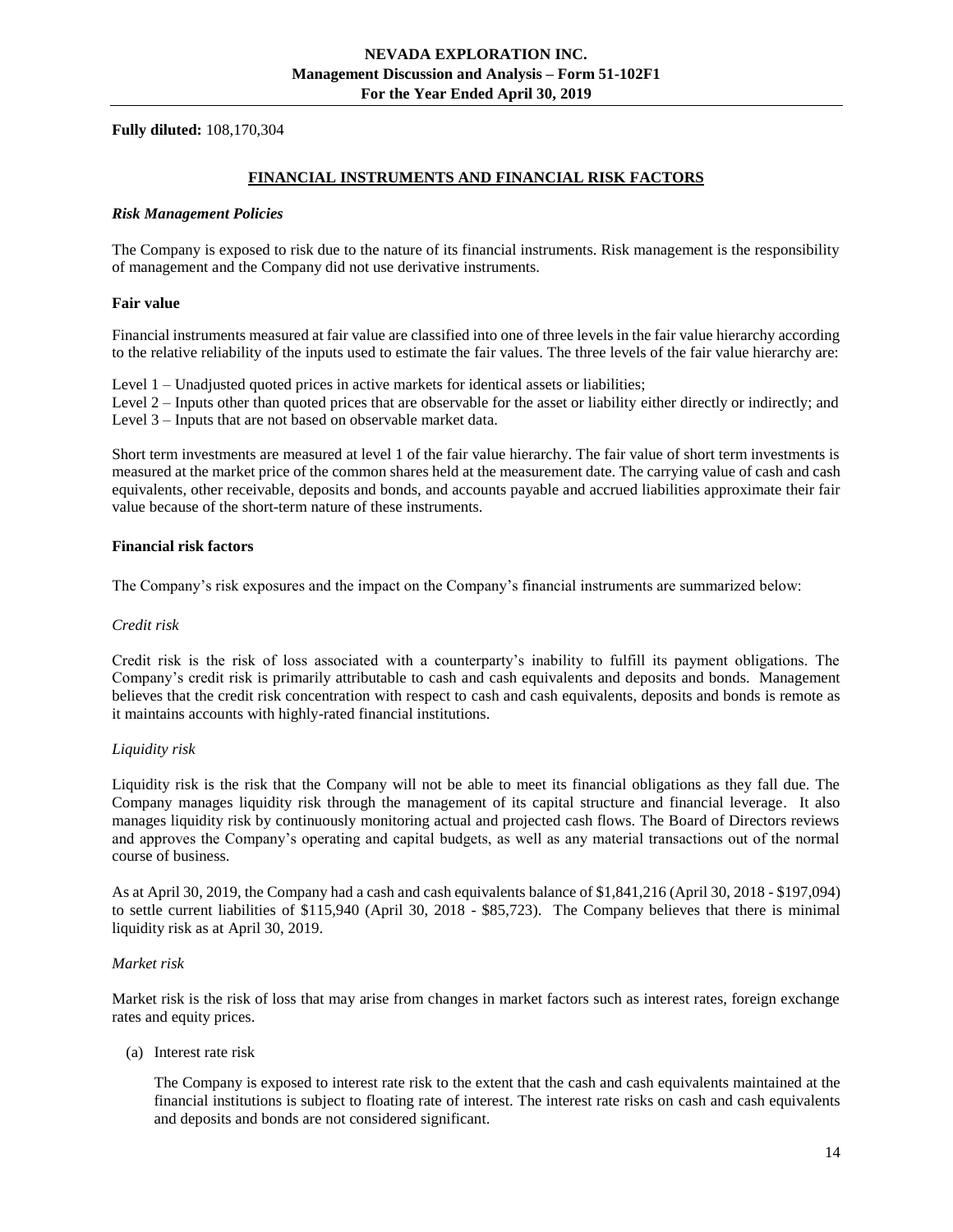<span id="page-13-0"></span>**Fully diluted:** 108,170,304

#### **FINANCIAL INSTRUMENTS AND FINANCIAL RISK FACTORS**

#### *Risk Management Policies*

The Company is exposed to risk due to the nature of its financial instruments. Risk management is the responsibility of management and the Company did not use derivative instruments.

#### **Fair value**

Financial instruments measured at fair value are classified into one of three levels in the fair value hierarchy according to the relative reliability of the inputs used to estimate the fair values. The three levels of the fair value hierarchy are:

Level 1 – Unadjusted quoted prices in active markets for identical assets or liabilities;

Level 2 – Inputs other than quoted prices that are observable for the asset or liability either directly or indirectly; and Level 3 – Inputs that are not based on observable market data.

Short term investments are measured at level 1 of the fair value hierarchy. The fair value of short term investments is measured at the market price of the common shares held at the measurement date. The carrying value of cash and cash equivalents, other receivable, deposits and bonds, and accounts payable and accrued liabilities approximate their fair value because of the short-term nature of these instruments.

#### **Financial risk factors**

The Company's risk exposures and the impact on the Company's financial instruments are summarized below:

#### *Credit risk*

Credit risk is the risk of loss associated with a counterparty's inability to fulfill its payment obligations. The Company's credit risk is primarily attributable to cash and cash equivalents and deposits and bonds. Management believes that the credit risk concentration with respect to cash and cash equivalents, deposits and bonds is remote as it maintains accounts with highly-rated financial institutions.

## *Liquidity risk*

Liquidity risk is the risk that the Company will not be able to meet its financial obligations as they fall due. The Company manages liquidity risk through the management of its capital structure and financial leverage. It also manages liquidity risk by continuously monitoring actual and projected cash flows. The Board of Directors reviews and approves the Company's operating and capital budgets, as well as any material transactions out of the normal course of business.

As at April 30, 2019, the Company had a cash and cash equivalents balance of \$1,841,216 (April 30, 2018 - \$197,094) to settle current liabilities of \$115,940 (April 30, 2018 - \$85,723). The Company believes that there is minimal liquidity risk as at April 30, 2019.

#### *Market risk*

Market risk is the risk of loss that may arise from changes in market factors such as interest rates, foreign exchange rates and equity prices.

(a) Interest rate risk

The Company is exposed to interest rate risk to the extent that the cash and cash equivalents maintained at the financial institutions is subject to floating rate of interest. The interest rate risks on cash and cash equivalents and deposits and bonds are not considered significant.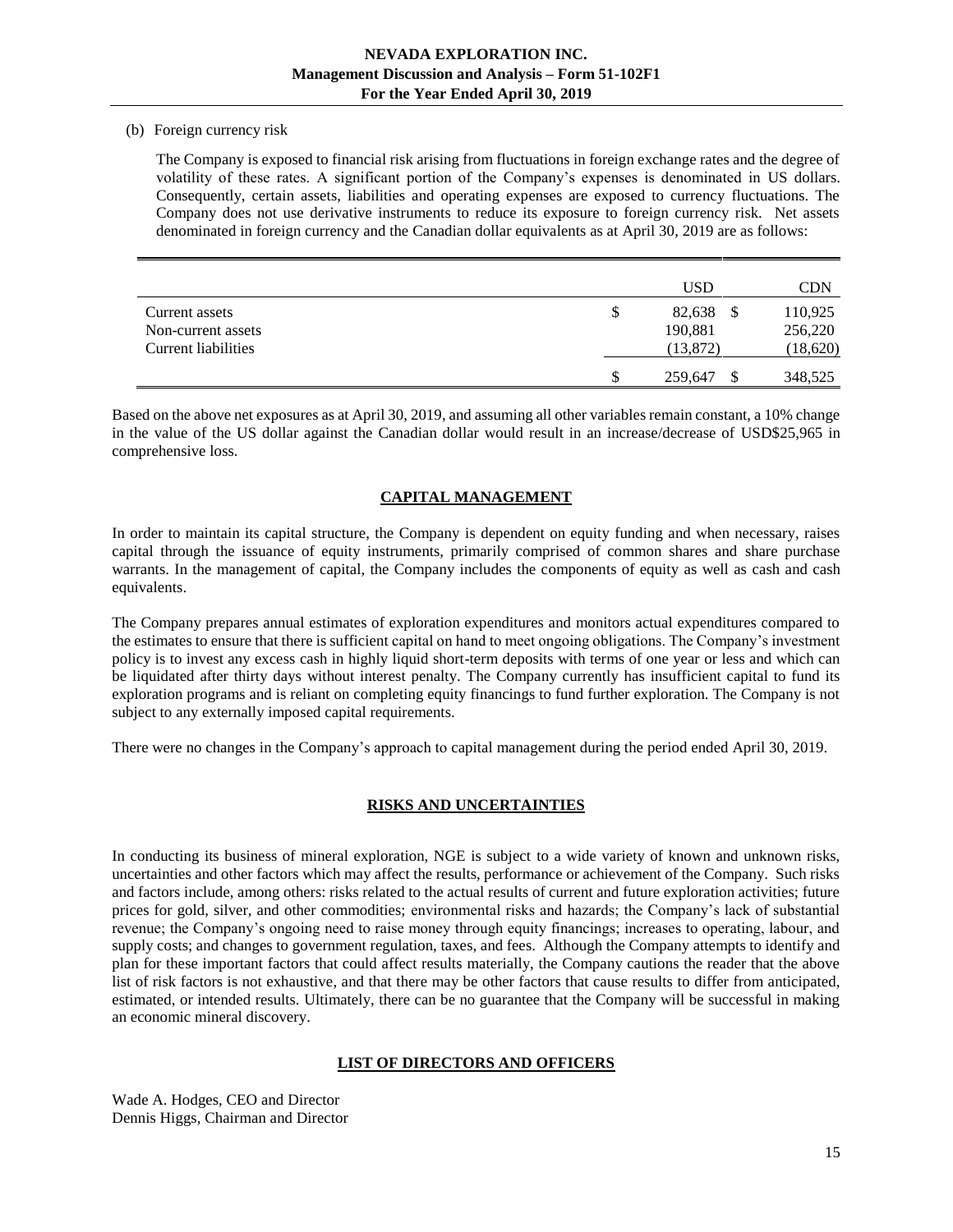#### (b) Foreign currency risk

The Company is exposed to financial risk arising from fluctuations in foreign exchange rates and the degree of volatility of these rates. A significant portion of the Company's expenses is denominated in US dollars. Consequently, certain assets, liabilities and operating expenses are exposed to currency fluctuations. The Company does not use derivative instruments to reduce its exposure to foreign currency risk. Net assets denominated in foreign currency and the Canadian dollar equivalents as at April 30, 2019 are as follows:

|                     |    | <b>USD</b> | CDN      |
|---------------------|----|------------|----------|
| Current assets      | S  | 82.638     | 110,925  |
| Non-current assets  |    | 190,881    | 256,220  |
| Current liabilities |    | (13, 872)  | (18,620) |
|                     | \$ | 259,647    | 348,525  |

<span id="page-14-0"></span>Based on the above net exposures as at April 30, 2019, and assuming all other variables remain constant, a 10% change in the value of the US dollar against the Canadian dollar would result in an increase/decrease of USD\$25,965 in comprehensive loss.

# **CAPITAL MANAGEMENT**

In order to maintain its capital structure, the Company is dependent on equity funding and when necessary, raises capital through the issuance of equity instruments, primarily comprised of common shares and share purchase warrants. In the management of capital, the Company includes the components of equity as well as cash and cash equivalents.

The Company prepares annual estimates of exploration expenditures and monitors actual expenditures compared to the estimates to ensure that there is sufficient capital on hand to meet ongoing obligations. The Company's investment policy is to invest any excess cash in highly liquid short-term deposits with terms of one year or less and which can be liquidated after thirty days without interest penalty. The Company currently has insufficient capital to fund its exploration programs and is reliant on completing equity financings to fund further exploration. The Company is not subject to any externally imposed capital requirements.

There were no changes in the Company's approach to capital management during the period ended April 30, 2019.

## **RISKS AND UNCERTAINTIES**

<span id="page-14-1"></span>In conducting its business of mineral exploration, NGE is subject to a wide variety of known and unknown risks, uncertainties and other factors which may affect the results, performance or achievement of the Company. Such risks and factors include, among others: risks related to the actual results of current and future exploration activities; future prices for gold, silver, and other commodities; environmental risks and hazards; the Company's lack of substantial revenue; the Company's ongoing need to raise money through equity financings; increases to operating, labour, and supply costs; and changes to government regulation, taxes, and fees. Although the Company attempts to identify and plan for these important factors that could affect results materially, the Company cautions the reader that the above list of risk factors is not exhaustive, and that there may be other factors that cause results to differ from anticipated, estimated, or intended results. Ultimately, there can be no guarantee that the Company will be successful in making an economic mineral discovery.

## **LIST OF DIRECTORS AND OFFICERS**

<span id="page-14-2"></span>Wade A. Hodges, CEO and Director Dennis Higgs, Chairman and Director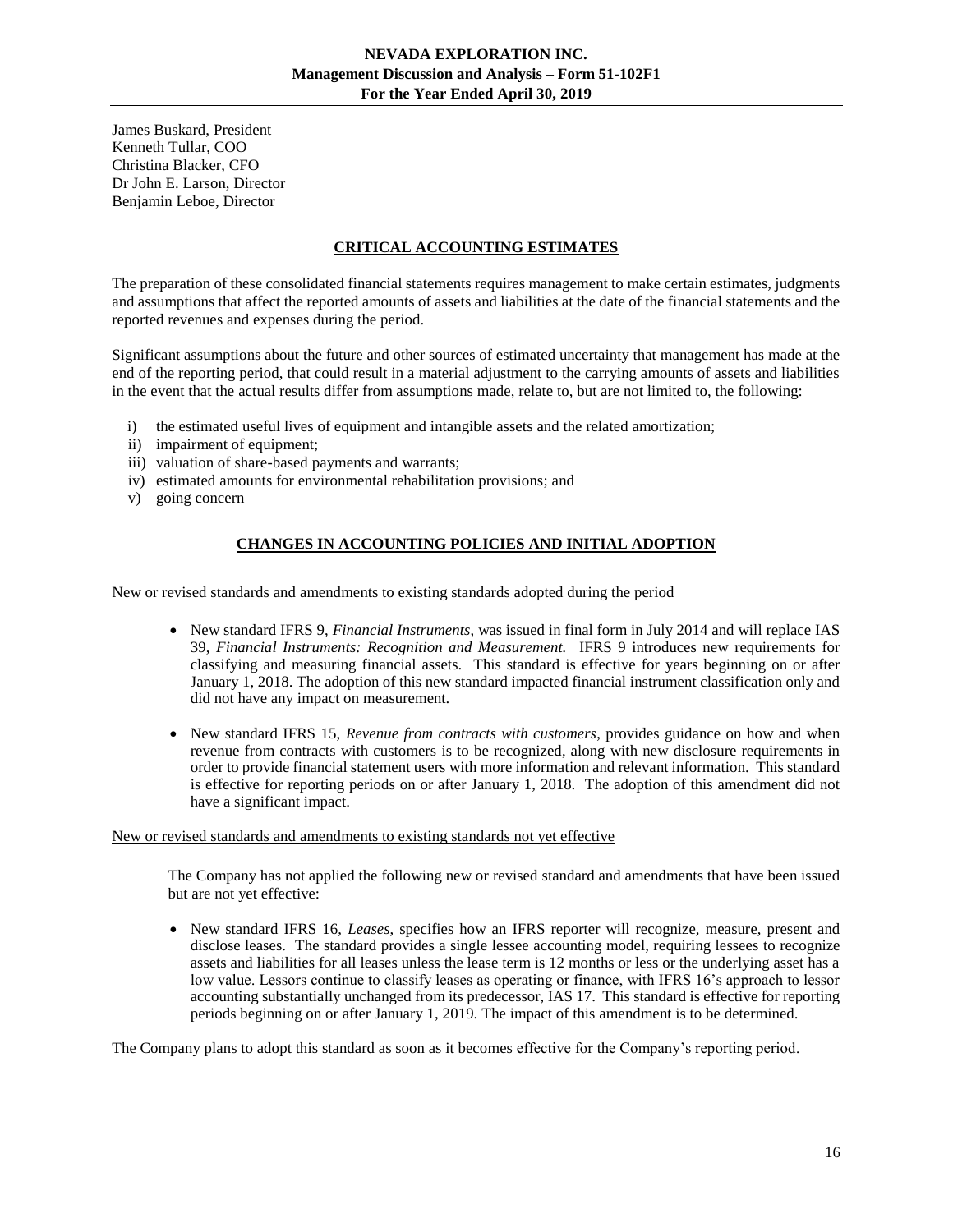James Buskard, President Kenneth Tullar, COO Christina Blacker, CFO Dr John E. Larson, Director Benjamin Leboe, Director

# **CRITICAL ACCOUNTING ESTIMATES**

<span id="page-15-0"></span>The preparation of these consolidated financial statements requires management to make certain estimates, judgments and assumptions that affect the reported amounts of assets and liabilities at the date of the financial statements and the reported revenues and expenses during the period.

Significant assumptions about the future and other sources of estimated uncertainty that management has made at the end of the reporting period, that could result in a material adjustment to the carrying amounts of assets and liabilities in the event that the actual results differ from assumptions made, relate to, but are not limited to, the following:

- i) the estimated useful lives of equipment and intangible assets and the related amortization;
- ii) impairment of equipment;
- iii) valuation of share-based payments and warrants;
- iv) estimated amounts for environmental rehabilitation provisions; and
- <span id="page-15-1"></span>v) going concern

# **CHANGES IN ACCOUNTING POLICIES AND INITIAL ADOPTION**

New or revised standards and amendments to existing standards adopted during the period

- New standard IFRS 9, *Financial Instruments*, was issued in final form in July 2014 and will replace IAS 39, *Financial Instruments: Recognition and Measurement.* IFRS 9 introduces new requirements for classifying and measuring financial assets. This standard is effective for years beginning on or after January 1, 2018. The adoption of this new standard impacted financial instrument classification only and did not have any impact on measurement.
- New standard IFRS 15, *Revenue from contracts with customers*, provides guidance on how and when revenue from contracts with customers is to be recognized, along with new disclosure requirements in order to provide financial statement users with more information and relevant information. This standard is effective for reporting periods on or after January 1, 2018. The adoption of this amendment did not have a significant impact.

#### New or revised standards and amendments to existing standards not yet effective

The Company has not applied the following new or revised standard and amendments that have been issued but are not yet effective:

• New standard IFRS 16, *Leases*, specifies how an IFRS reporter will recognize, measure, present and disclose leases. The standard provides a single lessee accounting model, requiring lessees to recognize assets and liabilities for all leases unless the lease term is 12 months or less or the underlying asset has a low value. Lessors continue to classify leases as operating or finance, with IFRS 16's approach to lessor accounting substantially unchanged from its predecessor, IAS 17. This standard is effective for reporting periods beginning on or after January 1, 2019. The impact of this amendment is to be determined.

The Company plans to adopt this standard as soon as it becomes effective for the Company's reporting period.